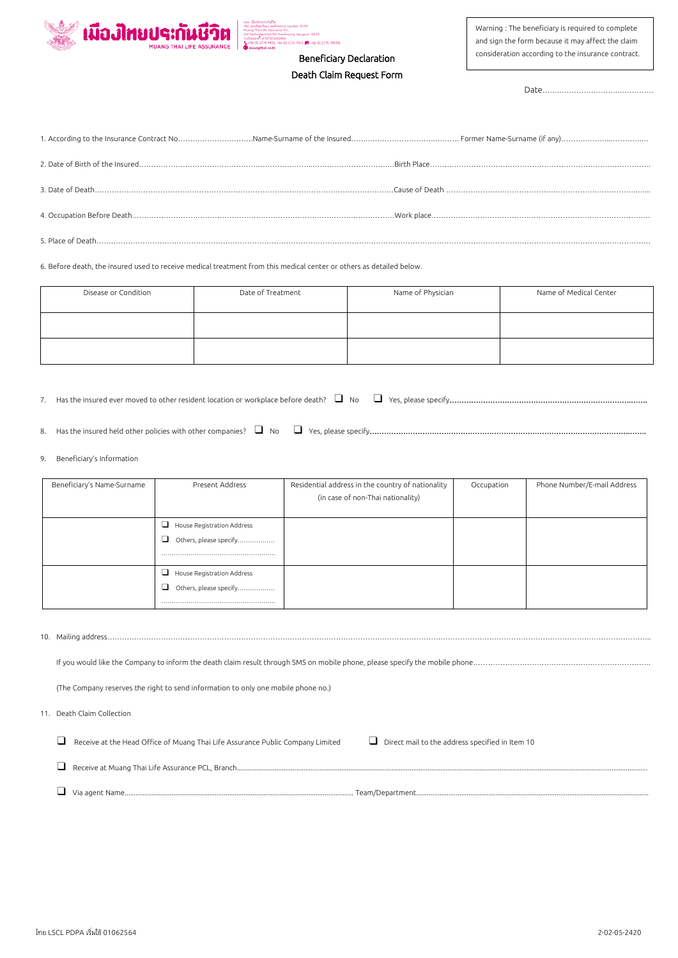



## Beneficiary Declaration Death Claim Request Form

Warning : The beneficiary is required to complete and sign the form because it may affect the claim consideration according to the insurance contract.

Date………………………….……………

6. Before death, the insured used to receive medical treatment from this medical center or others as detailed below.

| Disease or Condition | Date of Treatment | Name of Physician | Name of Medical Center |
|----------------------|-------------------|-------------------|------------------------|
|                      |                   |                   |                        |
|                      |                   |                   |                        |

7. Has the insured ever moved to other resident location or workplace before death? ❑ No ❑ Yes, please specify………………………………………………………………….…….

8. Has the insured held other policies with other companies? ❑ No ❑ Yes, please specify……………………………………………………………………………………………….…….

9. Beneficiary's Information

| Beneficiary's Name-Surname | Present Address             | Residential address in the country of nationality | Occupation | Phone Number/E-mail Address |
|----------------------------|-----------------------------|---------------------------------------------------|------------|-----------------------------|
|                            |                             | (in case of non-Thai nationality)                 |            |                             |
|                            |                             |                                                   |            |                             |
|                            | House Registration Address  |                                                   |            |                             |
|                            | Others, please specify<br>┙ |                                                   |            |                             |
|                            |                             |                                                   |            |                             |
|                            | House Registration Address  |                                                   |            |                             |
|                            | Others, please specify<br>◡ |                                                   |            |                             |
|                            |                             |                                                   |            |                             |

|  | (The Company reserves the right to send information to only one mobile phone no.)                                                        |
|--|------------------------------------------------------------------------------------------------------------------------------------------|
|  |                                                                                                                                          |
|  | 11. Death Claim Collection                                                                                                               |
|  |                                                                                                                                          |
|  | Receive at the Head Office of Muang Thai Life Assurance Public Company Limited<br>$\Box$ Direct mail to the address specified in Item 10 |
|  |                                                                                                                                          |
|  |                                                                                                                                          |
|  |                                                                                                                                          |